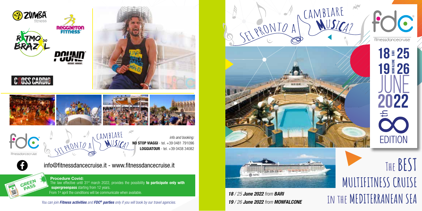

From 1<sup>st</sup> april the conditions will be communicate when available.



**The BEST**

**MULTIFITNESS CRUISE**



**i**8/25 June 2022 from BARI<br>**19**/26 June 2022 from MONFALCONE  $\blacksquare$  IN THE MEDITERRANEAN SEA *19 / 26 June 2022 from MONFALCONE*